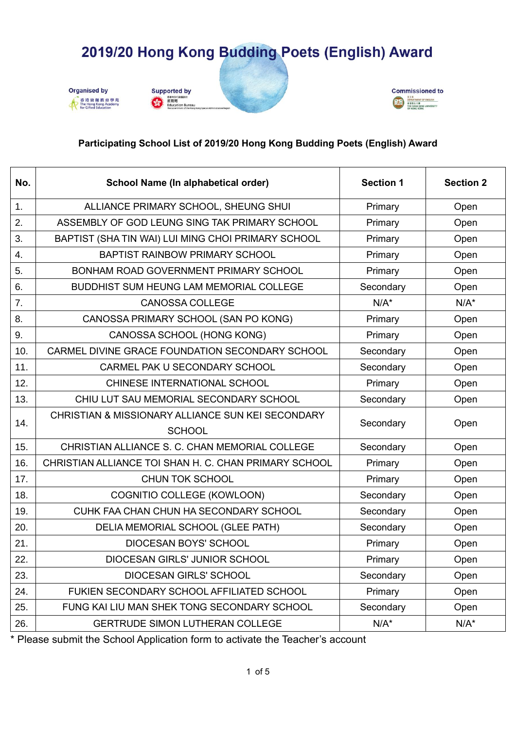







#### **Participating School List of 2019/20 Hong Kong Budding Poets (English) Award**

| No. | School Name (In alphabetical order)                   | <b>Section 1</b> | <b>Section 2</b> |
|-----|-------------------------------------------------------|------------------|------------------|
| 1.  | ALLIANCE PRIMARY SCHOOL, SHEUNG SHUI                  | Primary          | Open             |
| 2.  | ASSEMBLY OF GOD LEUNG SING TAK PRIMARY SCHOOL         | Primary          | Open             |
| 3.  | BAPTIST (SHA TIN WAI) LUI MING CHOI PRIMARY SCHOOL    | Primary          | Open             |
| 4.  | <b>BAPTIST RAINBOW PRIMARY SCHOOL</b>                 | Primary          | Open             |
| 5.  | BONHAM ROAD GOVERNMENT PRIMARY SCHOOL                 | Primary          | Open             |
| 6.  | BUDDHIST SUM HEUNG LAM MEMORIAL COLLEGE               | Secondary        | Open             |
| 7.  | <b>CANOSSA COLLEGE</b>                                | $N/A^*$          | $N/A^*$          |
| 8.  | CANOSSA PRIMARY SCHOOL (SAN PO KONG)                  | Primary          | Open             |
| 9.  | CANOSSA SCHOOL (HONG KONG)                            | Primary          | Open             |
| 10. | CARMEL DIVINE GRACE FOUNDATION SECONDARY SCHOOL       | Secondary        | Open             |
| 11. | CARMEL PAK U SECONDARY SCHOOL                         | Secondary        | Open             |
| 12. | CHINESE INTERNATIONAL SCHOOL                          | Primary          | Open             |
| 13. | CHIU LUT SAU MEMORIAL SECONDARY SCHOOL                | Secondary        | Open             |
| 14. | CHRISTIAN & MISSIONARY ALLIANCE SUN KEI SECONDARY     | Secondary        | Open             |
|     | <b>SCHOOL</b>                                         |                  |                  |
| 15. | CHRISTIAN ALLIANCE S. C. CHAN MEMORIAL COLLEGE        | Secondary        | Open             |
| 16. | CHRISTIAN ALLIANCE TOI SHAN H. C. CHAN PRIMARY SCHOOL | Primary          | Open             |
| 17. | <b>CHUN TOK SCHOOL</b>                                | Primary          | Open             |
| 18. | COGNITIO COLLEGE (KOWLOON)                            | Secondary        | Open             |
| 19. | CUHK FAA CHAN CHUN HA SECONDARY SCHOOL                | Secondary        | Open             |
| 20. | DELIA MEMORIAL SCHOOL (GLEE PATH)                     | Secondary        | Open             |
| 21. | <b>DIOCESAN BOYS' SCHOOL</b>                          | Primary          | Open             |
| 22. | DIOCESAN GIRLS' JUNIOR SCHOOL                         | Primary          | Open             |
| 23. | DIOCESAN GIRLS' SCHOOL                                | Secondary        | Open             |
| 24. | FUKIEN SECONDARY SCHOOL AFFILIATED SCHOOL             | Primary          | Open             |
| 25. | FUNG KAI LIU MAN SHEK TONG SECONDARY SCHOOL           | Secondary        | Open             |
| 26. | <b>GERTRUDE SIMON LUTHERAN COLLEGE</b>                | $N/A^*$          | $N/A^*$          |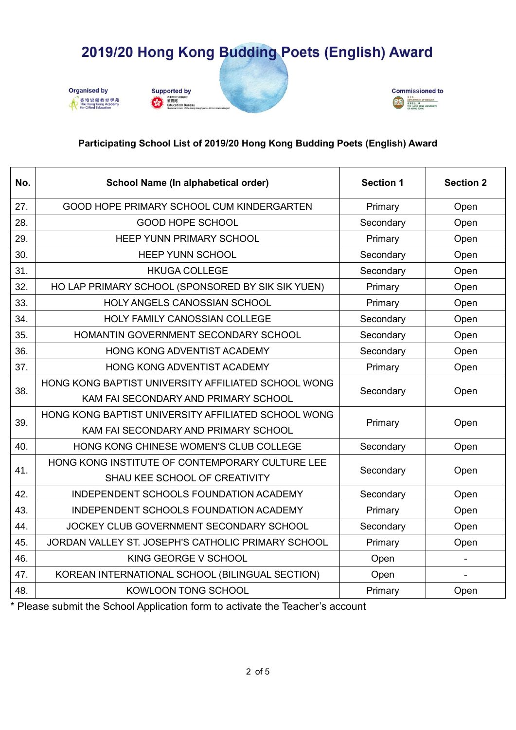







#### **Participating School List of 2019/20 Hong Kong Budding Poets (English) Award**

| No. | School Name (In alphabetical order)                 | <b>Section 1</b> | <b>Section 2</b> |
|-----|-----------------------------------------------------|------------------|------------------|
| 27. | GOOD HOPE PRIMARY SCHOOL CUM KINDERGARTEN           | Primary          | Open             |
| 28. | GOOD HOPE SCHOOL                                    | Secondary        | Open             |
| 29. | <b>HEEP YUNN PRIMARY SCHOOL</b>                     | Primary          | Open             |
| 30. | <b>HEEP YUNN SCHOOL</b>                             | Secondary        | Open             |
| 31. | <b>HKUGA COLLEGE</b>                                | Secondary        | Open             |
| 32. | HO LAP PRIMARY SCHOOL (SPONSORED BY SIK SIK YUEN)   | Primary          | Open             |
| 33. | HOLY ANGELS CANOSSIAN SCHOOL                        | Primary          | Open             |
| 34. | HOLY FAMILY CANOSSIAN COLLEGE                       | Secondary        | Open             |
| 35. | HOMANTIN GOVERNMENT SECONDARY SCHOOL                | Secondary        | Open             |
| 36. | HONG KONG ADVENTIST ACADEMY                         | Secondary        | Open             |
| 37. | HONG KONG ADVENTIST ACADEMY                         | Primary          | Open             |
| 38. | HONG KONG BAPTIST UNIVERSITY AFFILIATED SCHOOL WONG | Secondary        | Open             |
|     | KAM FAI SECONDARY AND PRIMARY SCHOOL                |                  |                  |
| 39. | HONG KONG BAPTIST UNIVERSITY AFFILIATED SCHOOL WONG | Primary          | Open             |
|     | KAM FAI SECONDARY AND PRIMARY SCHOOL                |                  |                  |
| 40. | HONG KONG CHINESE WOMEN'S CLUB COLLEGE              | Secondary        | Open             |
| 41. | HONG KONG INSTITUTE OF CONTEMPORARY CULTURE LEE     | Secondary        | Open             |
|     | SHAU KEE SCHOOL OF CREATIVITY                       |                  |                  |
| 42. | INDEPENDENT SCHOOLS FOUNDATION ACADEMY              | Secondary        | Open             |
| 43. | INDEPENDENT SCHOOLS FOUNDATION ACADEMY              | Primary          | Open             |
| 44. | JOCKEY CLUB GOVERNMENT SECONDARY SCHOOL             | Secondary        | Open             |
| 45. | JORDAN VALLEY ST. JOSEPH'S CATHOLIC PRIMARY SCHOOL  | Primary          | Open             |
| 46. | KING GEORGE V SCHOOL                                | Open             |                  |
| 47. | KOREAN INTERNATIONAL SCHOOL (BILINGUAL SECTION)     | Open             |                  |
| 48. | <b>KOWLOON TONG SCHOOL</b>                          | Primary          | Open             |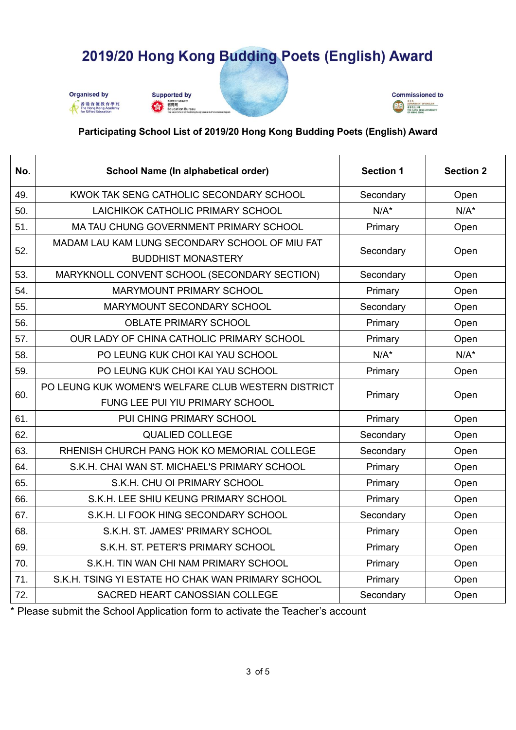







#### **Participating School List of 2019/20 Hong Kong Budding Poets (English) Award**

| No. | School Name (In alphabetical order)                | <b>Section 1</b> | <b>Section 2</b> |
|-----|----------------------------------------------------|------------------|------------------|
| 49. | KWOK TAK SENG CATHOLIC SECONDARY SCHOOL            | Secondary        | Open             |
| 50. | LAICHIKOK CATHOLIC PRIMARY SCHOOL                  | $N/A^*$          | $N/A^*$          |
| 51. | MA TAU CHUNG GOVERNMENT PRIMARY SCHOOL             | Primary          | Open             |
| 52. | MADAM LAU KAM LUNG SECONDARY SCHOOL OF MIU FAT     | Secondary        | Open             |
|     | <b>BUDDHIST MONASTERY</b>                          |                  |                  |
| 53. | MARYKNOLL CONVENT SCHOOL (SECONDARY SECTION)       | Secondary        | Open             |
| 54. | MARYMOUNT PRIMARY SCHOOL                           | Primary          | Open             |
| 55. | MARYMOUNT SECONDARY SCHOOL                         | Secondary        | Open             |
| 56. | <b>OBLATE PRIMARY SCHOOL</b>                       | Primary          | Open             |
| 57. | OUR LADY OF CHINA CATHOLIC PRIMARY SCHOOL          | Primary          | Open             |
| 58. | PO LEUNG KUK CHOI KAI YAU SCHOOL                   | $N/A^*$          | $N/A^*$          |
| 59. | PO LEUNG KUK CHOI KAI YAU SCHOOL                   | Primary          | Open             |
| 60. | PO LEUNG KUK WOMEN'S WELFARE CLUB WESTERN DISTRICT | Primary          | Open             |
|     | FUNG LEE PUI YIU PRIMARY SCHOOL                    |                  |                  |
| 61. | PUI CHING PRIMARY SCHOOL                           | Primary          | Open             |
| 62. | <b>QUALIED COLLEGE</b>                             | Secondary        | Open             |
| 63. | RHENISH CHURCH PANG HOK KO MEMORIAL COLLEGE        | Secondary        | Open             |
| 64. | S.K.H. CHAI WAN ST. MICHAEL'S PRIMARY SCHOOL       | Primary          | Open             |
| 65. | S.K.H. CHU OI PRIMARY SCHOOL                       | Primary          | Open             |
| 66. | S.K.H. LEE SHIU KEUNG PRIMARY SCHOOL               | Primary          | Open             |
| 67. | S.K.H. LI FOOK HING SECONDARY SCHOOL               | Secondary        | Open             |
| 68. | S.K.H. ST. JAMES' PRIMARY SCHOOL                   | Primary          | Open             |
| 69. | S.K.H. ST. PETER'S PRIMARY SCHOOL                  | Primary          | Open             |
| 70. | S.K.H. TIN WAN CHI NAM PRIMARY SCHOOL              | Primary          | Open             |
| 71. | S.K.H. TSING YI ESTATE HO CHAK WAN PRIMARY SCHOOL  | Primary          | Open             |
| 72. | SACRED HEART CANOSSIAN COLLEGE                     | Secondary        | Open             |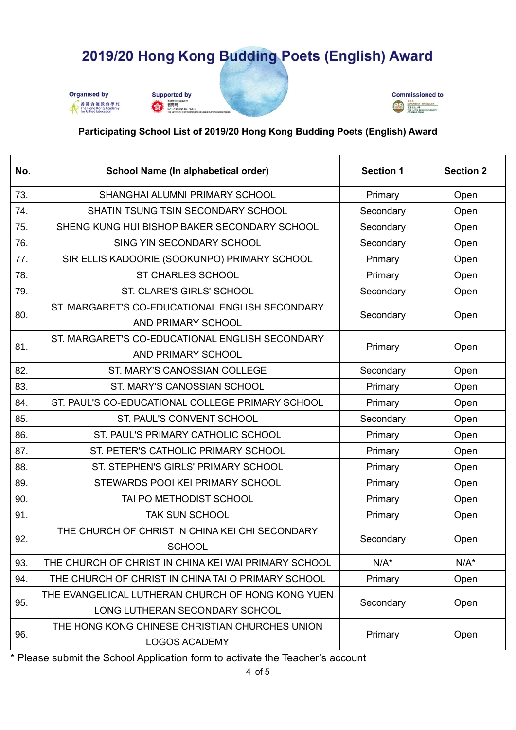







### **Participating School List of 2019/20 Hong Kong Budding Poets (English) Award**

| No. | School Name (In alphabetical order)                  | <b>Section 1</b>  | <b>Section 2</b> |
|-----|------------------------------------------------------|-------------------|------------------|
| 73. | SHANGHAI ALUMNI PRIMARY SCHOOL                       | Primary           | Open             |
| 74. | SHATIN TSUNG TSIN SECONDARY SCHOOL                   | Secondary         | Open             |
| 75. | SHENG KUNG HUI BISHOP BAKER SECONDARY SCHOOL         | Secondary         | Open             |
| 76. | SING YIN SECONDARY SCHOOL                            | Secondary         | Open             |
| 77. | SIR ELLIS KADOORIE (SOOKUNPO) PRIMARY SCHOOL         | Primary           | Open             |
| 78. | <b>ST CHARLES SCHOOL</b>                             | Primary           | Open             |
| 79. | ST. CLARE'S GIRLS' SCHOOL                            | Secondary         | Open             |
| 80. | ST. MARGARET'S CO-EDUCATIONAL ENGLISH SECONDARY      | Secondary         | Open             |
|     | AND PRIMARY SCHOOL                                   |                   |                  |
| 81. | ST. MARGARET'S CO-EDUCATIONAL ENGLISH SECONDARY      | Primary           | Open             |
|     | AND PRIMARY SCHOOL                                   |                   |                  |
| 82. | ST. MARY'S CANOSSIAN COLLEGE                         | Secondary         | Open             |
| 83. | ST. MARY'S CANOSSIAN SCHOOL                          | Primary           | Open             |
| 84. | ST. PAUL'S CO-EDUCATIONAL COLLEGE PRIMARY SCHOOL     | Primary           | Open             |
| 85. | ST. PAUL'S CONVENT SCHOOL                            | Secondary         | Open             |
| 86. | ST. PAUL'S PRIMARY CATHOLIC SCHOOL                   | Primary           | Open             |
| 87. | ST. PETER'S CATHOLIC PRIMARY SCHOOL                  | Primary           | Open             |
| 88. | ST. STEPHEN'S GIRLS' PRIMARY SCHOOL                  | Primary           | Open             |
| 89. | STEWARDS POOI KEI PRIMARY SCHOOL                     | Primary           | Open             |
| 90. | TAI PO METHODIST SCHOOL                              | Primary           | Open             |
| 91. | <b>TAK SUN SCHOOL</b>                                | Primary           | Open             |
| 92. | THE CHURCH OF CHRIST IN CHINA KEI CHI SECONDARY      | Secondary<br>Open |                  |
|     | <b>SCHOOL</b>                                        |                   |                  |
| 93. | THE CHURCH OF CHRIST IN CHINA KEI WAI PRIMARY SCHOOL | $N/A^*$           | $N/A^*$          |
| 94. | THE CHURCH OF CHRIST IN CHINA TAI O PRIMARY SCHOOL   | Primary           | Open             |
| 95. | THE EVANGELICAL LUTHERAN CHURCH OF HONG KONG YUEN    | Secondary         | Open             |
|     | LONG LUTHERAN SECONDARY SCHOOL                       |                   |                  |
| 96. | THE HONG KONG CHINESE CHRISTIAN CHURCHES UNION       |                   |                  |
|     | <b>LOGOS ACADEMY</b>                                 | Primary           | Open             |